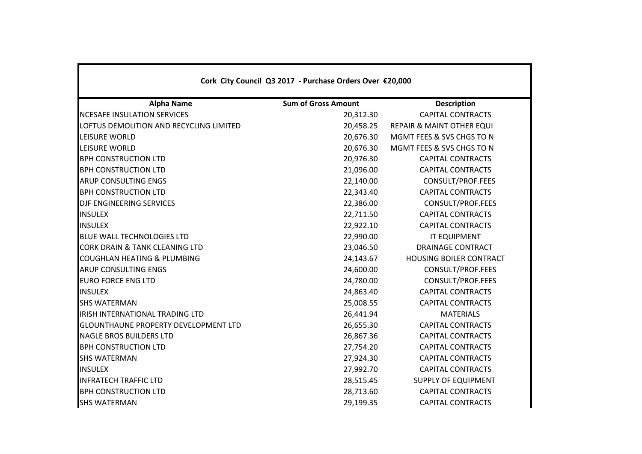| Cork City Council Q3 2017 - Purchase Orders Over €20,000 |                            |                                      |  |  |  |
|----------------------------------------------------------|----------------------------|--------------------------------------|--|--|--|
| <b>Alpha Name</b>                                        | <b>Sum of Gross Amount</b> | <b>Description</b>                   |  |  |  |
| NCESAFE INSULATION SERVICES                              | 20,312.30                  | <b>CAPITAL CONTRACTS</b>             |  |  |  |
| LOFTUS DEMOLITION AND RECYCLING LIMITED                  | 20,458.25                  | <b>REPAIR &amp; MAINT OTHER EQUI</b> |  |  |  |
| LEISURE WORLD                                            | 20,676.30                  | MGMT FEES & SVS CHGS TO N            |  |  |  |
| <b>LEISURE WORLD</b>                                     | 20,676.30                  | MGMT FEES & SVS CHGS TO N            |  |  |  |
| <b>BPH CONSTRUCTION LTD</b>                              | 20,976.30                  | <b>CAPITAL CONTRACTS</b>             |  |  |  |
| <b>BPH CONSTRUCTION LTD</b>                              | 21,096.00                  | <b>CAPITAL CONTRACTS</b>             |  |  |  |
| <b>ARUP CONSULTING ENGS</b>                              | 22,140.00                  | CONSULT/PROF.FEES                    |  |  |  |
| <b>BPH CONSTRUCTION LTD</b>                              | 22,343.40                  | <b>CAPITAL CONTRACTS</b>             |  |  |  |
| DJF ENGINEERING SERVICES                                 | 22,386.00                  | CONSULT/PROF.FEES                    |  |  |  |
| <b>INSULEX</b>                                           | 22,711.50                  | <b>CAPITAL CONTRACTS</b>             |  |  |  |
| <b>INSULEX</b>                                           | 22,922.10                  | <b>CAPITAL CONTRACTS</b>             |  |  |  |
| <b>BLUE WALL TECHNOLOGIES LTD</b>                        | 22,990.00                  | <b>IT EQUIPMENT</b>                  |  |  |  |
| <b>CORK DRAIN &amp; TANK CLEANING LTD</b>                | 23,046.50                  | <b>DRAINAGE CONTRACT</b>             |  |  |  |
| <b>COUGHLAN HEATING &amp; PLUMBING</b>                   | 24,143.67                  | <b>HOUSING BOILER CONTRACT</b>       |  |  |  |
| <b>ARUP CONSULTING ENGS</b>                              | 24,600.00                  | CONSULT/PROF.FEES                    |  |  |  |
| <b>EURO FORCE ENG LTD</b>                                | 24,780.00                  | CONSULT/PROF.FEES                    |  |  |  |
| <b>INSULEX</b>                                           | 24,863.40                  | <b>CAPITAL CONTRACTS</b>             |  |  |  |
| <b>SHS WATERMAN</b>                                      | 25,008.55                  | <b>CAPITAL CONTRACTS</b>             |  |  |  |
| IRISH INTERNATIONAL TRADING LTD                          | 26,441.94                  | <b>MATERIALS</b>                     |  |  |  |
| <b>GLOUNTHAUNE PROPERTY DEVELOPMENT LTD</b>              | 26,655.30                  | <b>CAPITAL CONTRACTS</b>             |  |  |  |
| <b>NAGLE BROS BUILDERS LTD</b>                           | 26,867.36                  | <b>CAPITAL CONTRACTS</b>             |  |  |  |
| <b>BPH CONSTRUCTION LTD</b>                              | 27,754.20                  | <b>CAPITAL CONTRACTS</b>             |  |  |  |
| <b>SHS WATERMAN</b>                                      | 27,924.30                  | <b>CAPITAL CONTRACTS</b>             |  |  |  |
| <b>INSULEX</b>                                           | 27,992.70                  | <b>CAPITAL CONTRACTS</b>             |  |  |  |
| <b>INFRATECH TRAFFIC LTD</b>                             | 28,515.45                  | <b>SUPPLY OF EQUIPMENT</b>           |  |  |  |
| <b>BPH CONSTRUCTION LTD</b>                              | 28,713.60                  | <b>CAPITAL CONTRACTS</b>             |  |  |  |
| <b>SHS WATERMAN</b>                                      | 29,199.35                  | <b>CAPITAL CONTRACTS</b>             |  |  |  |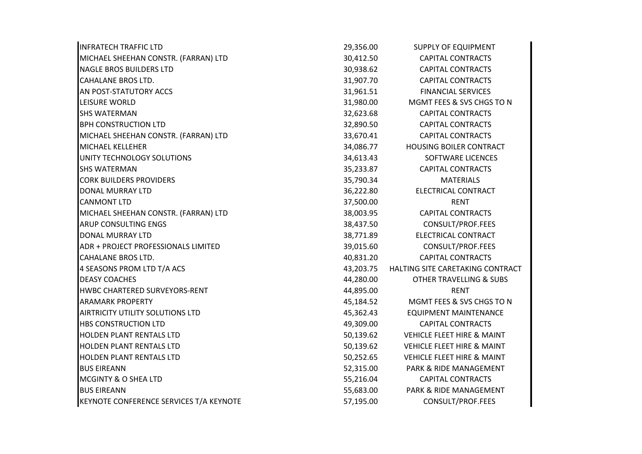| <b>INFRATECH TRAFFIC LTD</b>            | 29,356.00 | <b>SUPPLY OF EQUIPMENT</b>            |
|-----------------------------------------|-----------|---------------------------------------|
| MICHAEL SHEEHAN CONSTR. (FARRAN) LTD    | 30,412.50 | <b>CAPITAL CONTRACTS</b>              |
| <b>NAGLE BROS BUILDERS LTD</b>          | 30,938.62 | <b>CAPITAL CONTRACTS</b>              |
| <b>CAHALANE BROS LTD.</b>               | 31,907.70 | <b>CAPITAL CONTRACTS</b>              |
| AN POST-STATUTORY ACCS                  | 31,961.51 | <b>FINANCIAL SERVICES</b>             |
| LEISURE WORLD                           | 31,980.00 | MGMT FEES & SVS CHGS TO N             |
| <b>SHS WATERMAN</b>                     | 32,623.68 | <b>CAPITAL CONTRACTS</b>              |
| <b>BPH CONSTRUCTION LTD</b>             | 32,890.50 | <b>CAPITAL CONTRACTS</b>              |
| MICHAEL SHEEHAN CONSTR. (FARRAN) LTD    | 33,670.41 | <b>CAPITAL CONTRACTS</b>              |
| MICHAEL KELLEHER                        | 34,086.77 | <b>HOUSING BOILER CONTRACT</b>        |
| UNITY TECHNOLOGY SOLUTIONS              | 34,613.43 | <b>SOFTWARE LICENCES</b>              |
| <b>SHS WATERMAN</b>                     | 35,233.87 | <b>CAPITAL CONTRACTS</b>              |
| <b>CORK BUILDERS PROVIDERS</b>          | 35,790.34 | <b>MATERIALS</b>                      |
| <b>DONAL MURRAY LTD</b>                 | 36,222.80 | ELECTRICAL CONTRACT                   |
| <b>CANMONT LTD</b>                      | 37,500.00 | <b>RENT</b>                           |
| MICHAEL SHEEHAN CONSTR. (FARRAN) LTD    | 38,003.95 | <b>CAPITAL CONTRACTS</b>              |
| ARUP CONSULTING ENGS                    | 38,437.50 | CONSULT/PROF.FEES                     |
| <b>DONAL MURRAY LTD</b>                 | 38,771.89 | ELECTRICAL CONTRACT                   |
| ADR + PROJECT PROFESSIONALS LIMITED     | 39,015.60 | CONSULT/PROF.FEES                     |
| <b>CAHALANE BROS LTD.</b>               | 40,831.20 | <b>CAPITAL CONTRACTS</b>              |
| 4 SEASONS PROM LTD T/A ACS              | 43,203.75 | HALTING SITE CARETAKING CONTRACT      |
| <b>DEASY COACHES</b>                    | 44,280.00 | <b>OTHER TRAVELLING &amp; SUBS</b>    |
| HWBC CHARTERED SURVEYORS-RENT           | 44,895.00 | <b>RENT</b>                           |
| <b>ARAMARK PROPERTY</b>                 | 45,184.52 | MGMT FEES & SVS CHGS TO N             |
| AIRTRICITY UTILITY SOLUTIONS LTD        | 45,362.43 | <b>EQUIPMENT MAINTENANCE</b>          |
| <b>HBS CONSTRUCTION LTD</b>             | 49,309.00 | <b>CAPITAL CONTRACTS</b>              |
| <b>HOLDEN PLANT RENTALS LTD</b>         | 50,139.62 | <b>VEHICLE FLEET HIRE &amp; MAINT</b> |
| HOLDEN PLANT RENTALS LTD                | 50,139.62 | <b>VEHICLE FLEET HIRE &amp; MAINT</b> |
| <b>HOLDEN PLANT RENTALS LTD</b>         | 50,252.65 | <b>VEHICLE FLEET HIRE &amp; MAINT</b> |
| <b>BUS EIREANN</b>                      | 52,315.00 | PARK & RIDE MANAGEMENT                |
| MCGINTY & O SHEA LTD                    | 55,216.04 | <b>CAPITAL CONTRACTS</b>              |
| <b>BUS EIREANN</b>                      | 55,683.00 | PARK & RIDE MANAGEMENT                |
| KEYNOTE CONFERENCE SERVICES T/A KEYNOTE | 57,195.00 | CONSULT/PROF.FEES                     |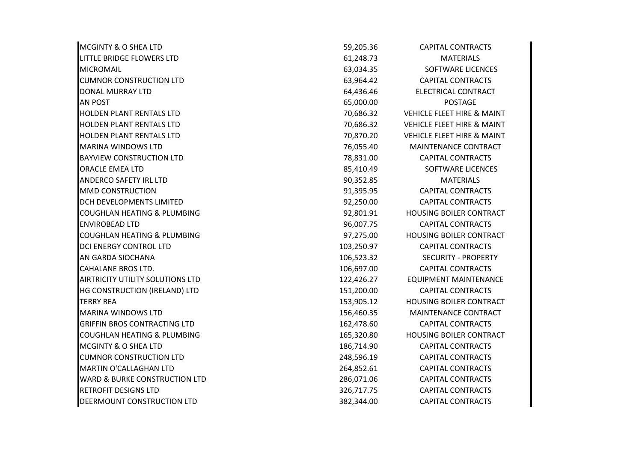| <b>MCGINTY &amp; O SHEA LTD</b>          | 59,205.36  | <b>CAPITAL CONTRACTS</b>              |
|------------------------------------------|------------|---------------------------------------|
| LITTLE BRIDGE FLOWERS LTD                | 61,248.73  | <b>MATERIALS</b>                      |
| <b>MICROMAIL</b>                         | 63,034.35  | SOFTWARE LICENCES                     |
| <b>CUMNOR CONSTRUCTION LTD</b>           | 63,964.42  | <b>CAPITAL CONTRACTS</b>              |
| DONAL MURRAY LTD                         | 64,436.46  | ELECTRICAL CONTRACT                   |
| <b>AN POST</b>                           | 65,000.00  | <b>POSTAGE</b>                        |
| <b>HOLDEN PLANT RENTALS LTD</b>          | 70,686.32  | <b>VEHICLE FLEET HIRE &amp; MAINT</b> |
| <b>HOLDEN PLANT RENTALS LTD</b>          | 70,686.32  | <b>VEHICLE FLEET HIRE &amp; MAINT</b> |
| <b>HOLDEN PLANT RENTALS LTD</b>          | 70,870.20  | <b>VEHICLE FLEET HIRE &amp; MAINT</b> |
| <b>MARINA WINDOWS LTD</b>                | 76,055.40  | MAINTENANCE CONTRACT                  |
| <b>BAYVIEW CONSTRUCTION LTD</b>          | 78,831.00  | <b>CAPITAL CONTRACTS</b>              |
| <b>ORACLE EMEA LTD</b>                   | 85,410.49  | <b>SOFTWARE LICENCES</b>              |
| ANDERCO SAFETY IRL LTD                   | 90,352.85  | <b>MATERIALS</b>                      |
| <b>MMD CONSTRUCTION</b>                  | 91,395.95  | <b>CAPITAL CONTRACTS</b>              |
| <b>DCH DEVELOPMENTS LIMITED</b>          | 92,250.00  | <b>CAPITAL CONTRACTS</b>              |
| <b>COUGHLAN HEATING &amp; PLUMBING</b>   | 92,801.91  | <b>HOUSING BOILER CONTRACT</b>        |
| <b>ENVIROBEAD LTD</b>                    | 96,007.75  | <b>CAPITAL CONTRACTS</b>              |
| <b>COUGHLAN HEATING &amp; PLUMBING</b>   | 97,275.00  | <b>HOUSING BOILER CONTRACT</b>        |
| DCI ENERGY CONTROL LTD                   | 103,250.97 | <b>CAPITAL CONTRACTS</b>              |
| AN GARDA SIOCHANA                        | 106,523.32 | <b>SECURITY - PROPERTY</b>            |
| <b>CAHALANE BROS LTD.</b>                | 106,697.00 | <b>CAPITAL CONTRACTS</b>              |
| <b>AIRTRICITY UTILITY SOLUTIONS LTD</b>  | 122,426.27 | <b>EQUIPMENT MAINTENANCE</b>          |
| HG CONSTRUCTION (IRELAND) LTD            | 151,200.00 | <b>CAPITAL CONTRACTS</b>              |
| <b>TERRY REA</b>                         | 153,905.12 | <b>HOUSING BOILER CONTRACT</b>        |
| <b>MARINA WINDOWS LTD</b>                | 156,460.35 | MAINTENANCE CONTRACT                  |
| <b>GRIFFIN BROS CONTRACTING LTD</b>      | 162,478.60 | <b>CAPITAL CONTRACTS</b>              |
| <b>COUGHLAN HEATING &amp; PLUMBING</b>   | 165,320.80 | HOUSING BOILER CONTRACT               |
| <b>MCGINTY &amp; O SHEA LTD</b>          | 186,714.90 | <b>CAPITAL CONTRACTS</b>              |
| <b>CUMNOR CONSTRUCTION LTD</b>           | 248,596.19 | <b>CAPITAL CONTRACTS</b>              |
| <b>MARTIN O'CALLAGHAN LTD</b>            | 264,852.61 | <b>CAPITAL CONTRACTS</b>              |
| <b>WARD &amp; BURKE CONSTRUCTION LTD</b> | 286,071.06 | <b>CAPITAL CONTRACTS</b>              |
| <b>RETROFIT DESIGNS LTD</b>              | 326,717.75 | <b>CAPITAL CONTRACTS</b>              |
| DEERMOUNT CONSTRUCTION LTD               | 382,344.00 | <b>CAPITAL CONTRACTS</b>              |